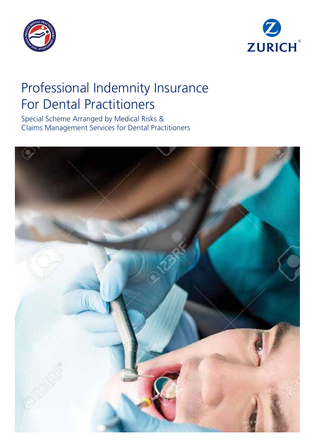



# Professional Indemnity Insurance For Dental Practitioners

Special Scheme Arranged by Medical Risks & Claims Management Services for Dental Practitioners

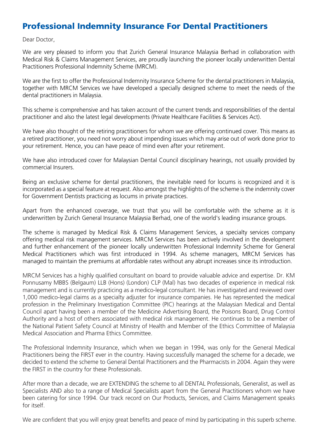## Professional Indemnity Insurance For Dental Practitioners

Dear Doctor,

We are very pleased to inform you that Zurich General Insurance Malaysia Berhad in collaboration with Medical Risk & Claims Management Services, are proudly launching the pioneer locally underwritten Dental Practitioners Professional Indemnity Scheme (MRCM).

We are the first to offer the Professional Indemnity Insurance Scheme for the dental practitioners in Malaysia, together with MRCM Services we have developed a specially designed scheme to meet the needs of the dental practitioners in Malaysia.

This scheme is comprehensive and has taken account of the current trends and responsibilities of the dental practitioner and also the latest legal developments (Private Healthcare Facilities & Services Act).

We have also thought of the retiring practitioners for whom we are offering continued cover. This means as a retired practitioner, you need not worry about impending issues which may arise out of work done prior to your retirement. Hence, you can have peace of mind even after your retirement.

We have also introduced cover for Malaysian Dental Council disciplinary hearings, not usually provided by commercial Insurers.

Being an exclusive scheme for dental practitioners, the inevitable need for locums is recognized and it is incorporated as a special feature at request. Also amongst the highlights of the scheme is the indemnity cover for Government Dentists practicing as locums in private practices.

Apart from the enhanced coverage, we trust that you will be comfortable with the scheme as it is underwritten by Zurich General Insurance Malaysia Berhad, one of the world's leading insurance groups.

The scheme is managed by Medical Risk & Claims Management Services, a specialty services company offering medical risk management services. MRCM Services has been actively involved in the development and further enhancement of the pioneer locally underwritten Professional Indemnity Scheme for General Medical Practitioners which was first introduced in 1994. As scheme managers, MRCM Services has managed to maintain the premiums at affordable rates without any abrupt increases since its introduction.

MRCM Services has a highly qualified consultant on board to provide valuable advice and expertise. Dr. KM Ponnusamy MBBS (Belgaum) LLB (Hons) (London) CLP (Mal) has two decades of experience in medical risk management and is currently practicing as a medico-legal consultant. He has investigated and reviewed over 1,000 medico-legal claims as a specialty adjuster for insurance companies. He has represented the medical profession in the Preliminary Investigation Committee (PIC) hearings at the Malaysian Medical and Dental Council apart having been a member of the Medicine Advertising Board, the Poisons Board, Drug Control Authority and a host of others associated with medical risk management. He continues to be a member of the National Patient Safety Council at Ministry of Health and Member of the Ethics Committee of Malaysia Medical Association and Pharma Ethics Committee.

The Professional Indemnity Insurance, which when we began in 1994, was only for the General Medical Practitioners being the FIRST ever in the country. Having successfully managed the scheme for a decade, we decided to extend the scheme to General Dental Practitioners and the Pharmacists in 2004. Again they were the FIRST in the country for these Professionals.

After more than a decade, we are EXTENDING the scheme to all DENTAL Professionals, Generalist, as well as Specialists AND also to a range of Medical Specialists apart from the General Practitioners whom we have been catering for since 1994. Our track record on Our Products, Services, and Claims Management speaks for itself.

We are confident that you will enjoy great benefits and peace of mind by participating in this superb scheme.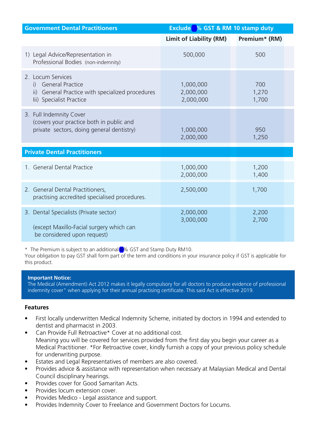| <b>Government Dental Practitioners</b>                                                                                   | Exclude % GST & RM 10 stamp duty    |                       |
|--------------------------------------------------------------------------------------------------------------------------|-------------------------------------|-----------------------|
|                                                                                                                          | Limit of Liability (RM)             | Premium* (RM)         |
| 1) Legal Advice/Representation in<br>Professional Bodies (non-indemnity)                                                 | 500,000                             | 500                   |
| 2. Locum Services<br>i) General Practice<br>ii) General Practice with specialized procedures<br>lii) Specialist Practice | 1,000,000<br>2,000,000<br>2,000,000 | 700<br>1,270<br>1,700 |
| 3. Full Indemnity Cover<br>(covers your practice both in public and<br>private sectors, doing general dentistry)         | 1,000,000<br>2,000,000              | 950<br>1,250          |
| <b>Private Dental Practitioners</b>                                                                                      |                                     |                       |
| 1. General Dental Practice                                                                                               | 1,000,000<br>2,000,000              | 1,200<br>1,400        |
| 2. General Dental Practitioners,<br>practising accredited specialised procedures.                                        | 2,500,000                           | 1,700                 |
| 3. Dental Specialists (Private sector)<br>(except Maxillo-Facial surgery which can<br>be considered upon request)        | 2,000,000<br>3,000,000              | 2,200<br>2,700        |

\* The Premium is subject to an additional 6% GST and Stamp Duty RM10.

Your obligation to pay GST shall form part of the term and conditions in your insurance policy if GST is applicable for this product.

#### **Important Notice:**

The Medical (Amendment) Act 2012 makes it legally compulsory for all doctors to produce evidence of professional indemnity cover" when applying for their annual practising certificate. This said Act is effective 2019.

#### **Features**

- First locally underwritten Medical Indemnity Scheme, initiated by doctors in 1994 and extended to dentist and pharmacist in 2003.
- Can Provide Full Retroactive\* Cover at no additional cost. Meaning you will be covered for services provided from the first day you begin your career as a Medical Practitioner. \*For Retroactive cover, kindly furnish a copy of your previous policy schedule for underwriting purpose.
- Estates and Legal Representatives of members are also covered.
- Provides advice & assistance with representation when necessary at Malaysian Medical and Dental Council disciplinary hearings.
- Provides cover for Good Samaritan Acts.
- Provides locum extension cover
- Provides Medico Legal assistance and support.
- Provides Indemnity Cover to Freelance and Government Doctors for Locums.